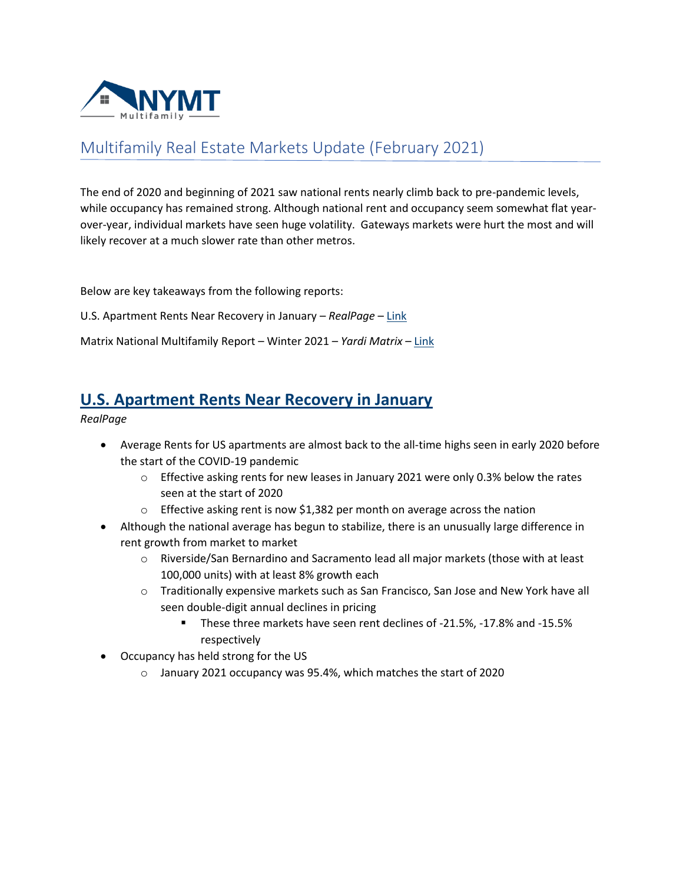

## Multifamily Real Estate Markets Update (February 2021)

The end of 2020 and beginning of 2021 saw national rents nearly climb back to pre-pandemic levels, while occupancy has remained strong. Although national rent and occupancy seem somewhat flat yearover-year, individual markets have seen huge volatility. Gateways markets were hurt the most and will likely recover at a much slower rate than other metros.

Below are key takeaways from the following reports:

U.S. Apartment Rents Near Recovery in January – *RealPage* – [Link](https://www.realpage.com/analytics/u-s-apartment-rents-near-recovery-january/)

Matrix National Multifamily Report – Winter 2021 – *Yardi Matrix* – [Link](https://www.yardimatrix.com/Publications/Download/File/1185-MatrixMultifamilyNationalOutlook-Winter2021?signup=false)

## **[U.S. Apartment Rents Near Recovery in January](https://www.realpage.com/analytics/u-s-apartment-rents-near-recovery-january/)**

*RealPage*

- Average Rents for US apartments are almost back to the all-time highs seen in early 2020 before the start of the COVID-19 pandemic
	- $\circ$  Effective asking rents for new leases in January 2021 were only 0.3% below the rates seen at the start of 2020
	- o Effective asking rent is now \$1,382 per month on average across the nation
- Although the national average has begun to stabilize, there is an unusually large difference in rent growth from market to market
	- o Riverside/San Bernardino and Sacramento lead all major markets (those with at least 100,000 units) with at least 8% growth each
	- o Traditionally expensive markets such as San Francisco, San Jose and New York have all seen double-digit annual declines in pricing
		- These three markets have seen rent declines of -21.5%, -17.8% and -15.5% respectively
- Occupancy has held strong for the US
	- o January 2021 occupancy was 95.4%, which matches the start of 2020